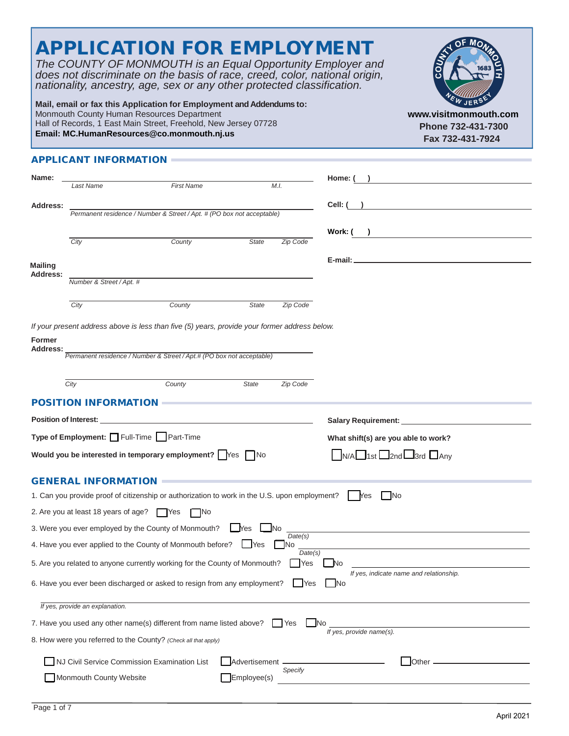|                | nationality, ancestry, age, sex or any other protected classification. | Mail, email or fax this Application for Employment and Addendums to:<br>Monmouth County Human Resources Department<br>Hall of Records, 1 East Main Street, Freehold, New Jersey 07728<br>Email: MC.HumanResources@co.monmouth.nj.us |                           | does not discriminate on the basis of race, creed, color, national origin,<br>www.visitmonmouth.com<br>Phone 732-431-7300<br>Fax 732-431-7924 |
|----------------|------------------------------------------------------------------------|-------------------------------------------------------------------------------------------------------------------------------------------------------------------------------------------------------------------------------------|---------------------------|-----------------------------------------------------------------------------------------------------------------------------------------------|
|                |                                                                        |                                                                                                                                                                                                                                     |                           |                                                                                                                                               |
|                | <b>APPLICANT INFORMATION =</b>                                         |                                                                                                                                                                                                                                     |                           |                                                                                                                                               |
| Name:          | Last Name                                                              | <b>First Name</b>                                                                                                                                                                                                                   | M.I.                      | Home: (                                                                                                                                       |
|                |                                                                        |                                                                                                                                                                                                                                     |                           | Cell: (                                                                                                                                       |
| Address:       |                                                                        | Permanent residence / Number & Street / Apt. # (PO box not acceptable)                                                                                                                                                              |                           |                                                                                                                                               |
|                |                                                                        |                                                                                                                                                                                                                                     |                           | Work: (<br><u> 1989 - Johann Barn, mars eta bainar eta baina eta baina eta baina eta baina eta baina eta baina eta baina e</u>                |
|                | City                                                                   | County                                                                                                                                                                                                                              | <b>State</b><br>Zip Code  |                                                                                                                                               |
| <b>Mailing</b> |                                                                        |                                                                                                                                                                                                                                     |                           |                                                                                                                                               |
| Address:       | Number & Street / Apt. #                                               |                                                                                                                                                                                                                                     |                           |                                                                                                                                               |
|                |                                                                        |                                                                                                                                                                                                                                     |                           |                                                                                                                                               |
|                | City                                                                   | County                                                                                                                                                                                                                              | Zip Code<br>State         |                                                                                                                                               |
|                | City<br><b>POSITION INFORMATION</b>                                    | Permanent residence / Number & Street / Apt.# (PO box not acceptable)<br>County                                                                                                                                                     | State<br>Zip Code         |                                                                                                                                               |
|                | <b>Position of Interest:</b>                                           |                                                                                                                                                                                                                                     |                           |                                                                                                                                               |
|                | Type of Employment: Full-Time Part-Time                                |                                                                                                                                                                                                                                     |                           | What shift(s) are you able to work?                                                                                                           |
|                |                                                                        | Would you be interested in temporary employment? $\bigcap$ Yes $\bigcap$ No                                                                                                                                                         |                           | $\Box$ N/A $\Box$ 1st $\Box$ 2nd $\Box$ 3rd $\Box$ Any                                                                                        |
|                |                                                                        |                                                                                                                                                                                                                                     |                           |                                                                                                                                               |
|                | <b>GENERAL INFORMATION</b>                                             |                                                                                                                                                                                                                                     |                           |                                                                                                                                               |
|                |                                                                        | 1. Can you provide proof of citizenship or authorization to work in the U.S. upon employment?                                                                                                                                       |                           | <b>No</b><br>lYes                                                                                                                             |
|                | 2. Are you at least 18 years of age? $\Box$ Yes                        | l No                                                                                                                                                                                                                                |                           |                                                                                                                                               |
|                |                                                                        |                                                                                                                                                                                                                                     |                           |                                                                                                                                               |
|                |                                                                        | 3. Were you ever employed by the County of Monmouth?                                                                                                                                                                                | <b>Nes</b><br><u>I</u> No |                                                                                                                                               |
|                |                                                                        | 4. Have you ever applied to the County of Monmouth before?                                                                                                                                                                          | Date(s)<br>No<br>lYes.    |                                                                                                                                               |
|                |                                                                        | 5. Are you related to anyone currently working for the County of Monmouth?                                                                                                                                                          | Yes                       | Date(s)<br><b>No</b>                                                                                                                          |
|                |                                                                        | 6. Have you ever been discharged or asked to resign from any employment?                                                                                                                                                            |                           | If yes, indicate name and relationship.<br><b>IYes</b><br><b>INo</b>                                                                          |
|                | If yes, provide an explanation.                                        |                                                                                                                                                                                                                                     |                           |                                                                                                                                               |
|                |                                                                        | 7. Have you used any other name(s) different from name listed above?                                                                                                                                                                | <b>I</b> Yes              | <b>INo</b>                                                                                                                                    |
|                |                                                                        | 8. How were you referred to the County? (Check all that apply)                                                                                                                                                                      |                           | If yes, provide name(s).                                                                                                                      |
|                |                                                                        | NJ Civil Service Commission Examination List                                                                                                                                                                                        | Advertisement -           | Other -                                                                                                                                       |

APPLICATION FOR EMPLOYMENT

STATE MONTO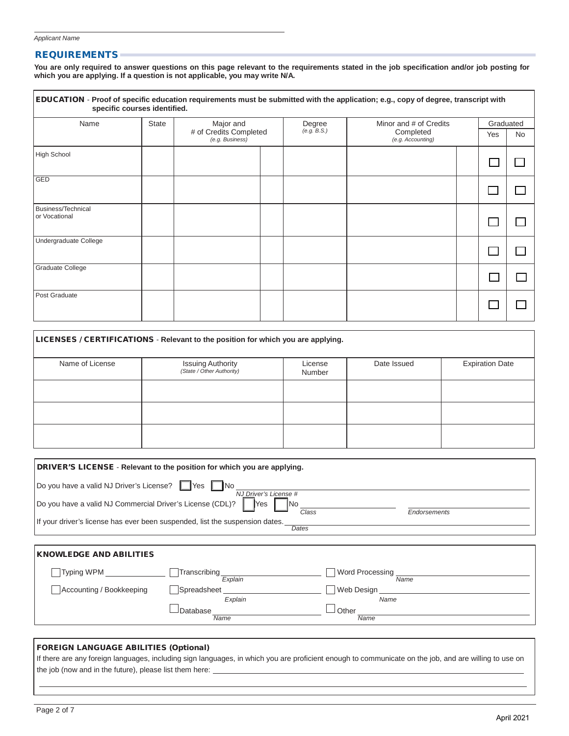#### **REQUIREMENTS**

**You are only required to answer questions on this page relevant to the requirements stated in the job specification and/or job posting for which you are applying. If a question is not applicable, you may write N/A.**

| Name                                | <b>State</b> | Major and                                 | Degree      | Minor and # of Credits         |     | Graduated |
|-------------------------------------|--------------|-------------------------------------------|-------------|--------------------------------|-----|-----------|
|                                     |              | # of Credits Completed<br>(e.g. Business) | (e.g. B.S.) | Completed<br>(e.g. Accounting) | Yes | No        |
| High School                         |              |                                           |             |                                |     |           |
| <b>GED</b>                          |              |                                           |             |                                |     |           |
| Business/Technical<br>or Vocational |              |                                           |             |                                |     |           |
| Undergraduate College               |              |                                           |             |                                |     |           |
| <b>Graduate College</b>             |              |                                           |             |                                |     |           |
| Post Graduate                       |              |                                           |             |                                |     |           |

| LICENSES / CERTIFICATIONS - Relevant to the position for which you are applying. |                                                       |                   |             |                        |  |  |  |  |
|----------------------------------------------------------------------------------|-------------------------------------------------------|-------------------|-------------|------------------------|--|--|--|--|
| Name of License                                                                  | <b>Issuing Authority</b><br>(State / Other Authority) | License<br>Number | Date Issued | <b>Expiration Date</b> |  |  |  |  |
|                                                                                  |                                                       |                   |             |                        |  |  |  |  |
|                                                                                  |                                                       |                   |             |                        |  |  |  |  |
|                                                                                  |                                                       |                   |             |                        |  |  |  |  |

|                                                           | DRIVER'S LICENSE - Relevant to the position for which you are applying.      |                       |                 |  |
|-----------------------------------------------------------|------------------------------------------------------------------------------|-----------------------|-----------------|--|
| Do you have a valid NJ Driver's License? Nes No           |                                                                              | NJ Driver's License # |                 |  |
| Do you have a valid NJ Commercial Driver's License (CDL)? | <b>Yes</b>                                                                   | Class                 | Endorsements    |  |
|                                                           | If your driver's license has ever been suspended, list the suspension dates. | Dates                 |                 |  |
|                                                           |                                                                              |                       |                 |  |
| <b>KNOWLEDGE AND ABILITIES</b>                            |                                                                              |                       |                 |  |
| Typing WPM                                                | Transcribing                                                                 |                       | Word Processing |  |

| Typing vvPlvi            | Tianschbing | VVOID PIOCESSING   |
|--------------------------|-------------|--------------------|
|                          | Explain     | Name               |
| Accounting / Bookkeeping | Spreadsheet | <b>Web Design</b>  |
|                          | Explain     | Name               |
|                          | ⊿Database   | <sup>J</sup> Other |
|                          | Name        | Name               |

#### FOREIGN LANGUAGE ABILITIES (Optional)

If there are any foreign languages, including sign languages, in which you are proficient enough to communicate on the job, and are willing to use on the job (now and in the future), please list them here: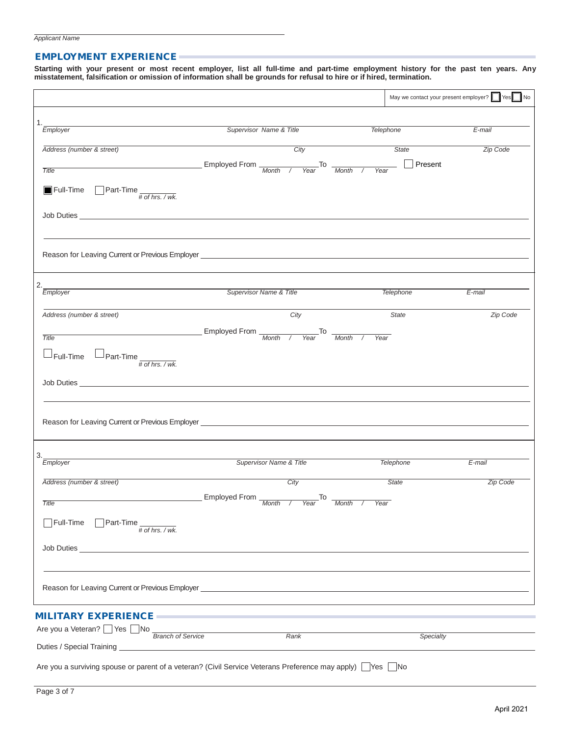#### EMPLOYMENT EXPERIENCE

Starting with your present or most recent employer, list all full-time and part-time employment history for the past ten years. Any **misstatement, falsification or omission of information shall be grounds for refusal to hire or if hired, termination.**

|                                                                                                         |                                                                                                                                                                                                                                      |                 | May we contact your present employer? Ves No |
|---------------------------------------------------------------------------------------------------------|--------------------------------------------------------------------------------------------------------------------------------------------------------------------------------------------------------------------------------------|-----------------|----------------------------------------------|
| 1.                                                                                                      |                                                                                                                                                                                                                                      |                 |                                              |
| Employer                                                                                                | Supervisor Name & Title                                                                                                                                                                                                              | Telephone       | E-mail                                       |
| Address (number & street)                                                                               | City                                                                                                                                                                                                                                 | State           | Zip Code                                     |
| <b>Title</b>                                                                                            | Employed From $\frac{1}{\text{Month} \quad / \quad \text{Year}}$ To $\frac{1}{\text{Month} \quad / \quad \text{^$                                                                                                                    | Present<br>Year |                                              |
| <b>Full-Time</b> Part-Time $\frac{1}{\# \text{ of } \text{hrs. } / \text{wk.}}$                         |                                                                                                                                                                                                                                      |                 |                                              |
|                                                                                                         |                                                                                                                                                                                                                                      |                 |                                              |
|                                                                                                         | Reason for Leaving Current or Previous Employer <b>Constitution</b> and the construction of the construction of the construction of the construction of the construction of the construction of the construction of the constructio  |                 |                                              |
| 2.<br>Employer                                                                                          | Supervisor Name & Title                                                                                                                                                                                                              | Telephone       | $E$ -mail                                    |
|                                                                                                         |                                                                                                                                                                                                                                      |                 |                                              |
| Address (number & street)                                                                               | City                                                                                                                                                                                                                                 | State           | Zip Code                                     |
| Title                                                                                                   | Employed From Month / Year To Month /                                                                                                                                                                                                | Year            |                                              |
| $\mathbin{\relax{\sqcup} }$ Full-Time<br>$\Box$ Part-Time $\frac{1}{\# \text{ of hrs. } / \text{ wk.}}$ |                                                                                                                                                                                                                                      |                 |                                              |
|                                                                                                         |                                                                                                                                                                                                                                      |                 |                                              |
|                                                                                                         | Reason for Leaving Current or Previous Employer _________________________________                                                                                                                                                    |                 |                                              |
|                                                                                                         |                                                                                                                                                                                                                                      |                 |                                              |
| 3.<br>Employer                                                                                          | Supervisor Name & Title                                                                                                                                                                                                              | Telephone       | E-mail                                       |
| Address (number & street)                                                                               | City                                                                                                                                                                                                                                 | <b>State</b>    | <b>Zip Code</b>                              |
| Title                                                                                                   | Employed From Month / Year To Month / Year                                                                                                                                                                                           |                 |                                              |
| Full-Time<br>$\Box$ Part-Time $\frac{1}{\# \text{ of } \text{hrs}}$ ./wk.                               |                                                                                                                                                                                                                                      |                 |                                              |
| Job Duties                                                                                              |                                                                                                                                                                                                                                      |                 |                                              |
|                                                                                                         |                                                                                                                                                                                                                                      |                 |                                              |
|                                                                                                         | Reason for Leaving Current or Previous Employer <b>Contract Contract Contract Contract Contract Contract Contract Contract Contract Contract Contract Contract Contract Contract Contract Contract Contract Contract Contract Co</b> |                 |                                              |
| <b>MILITARY EXPERIENCE -</b>                                                                            |                                                                                                                                                                                                                                      |                 |                                              |
| Are you a Veteran? ■ Yes ■ No Branch of Service                                                         | Rank                                                                                                                                                                                                                                 | Specialty       |                                              |
|                                                                                                         |                                                                                                                                                                                                                                      |                 |                                              |
|                                                                                                         | Are you a surviving spouse or parent of a veteran? (Civil Service Veterans Preference may apply) TYes No                                                                                                                             |                 |                                              |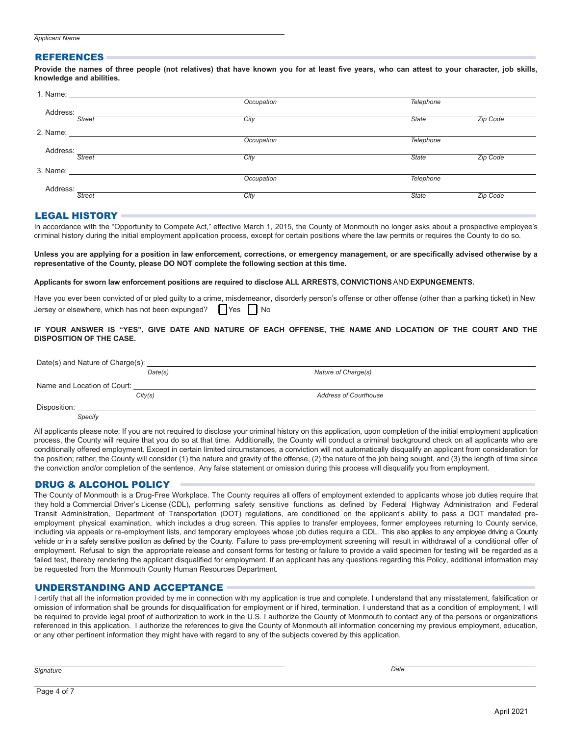## *Signature Date*

*Applicant Name* REFERENCES

#### Provide the names of three people (not relatives) that have known you for at least five years, who can attest to your character, job skills, **knowledge and abilities.**

|          |                                                                                                                                                                                                                               | Occupation | Telephone    |                 |
|----------|-------------------------------------------------------------------------------------------------------------------------------------------------------------------------------------------------------------------------------|------------|--------------|-----------------|
| Address: |                                                                                                                                                                                                                               |            |              |                 |
|          | <b>Street</b>                                                                                                                                                                                                                 | City       | <b>State</b> | <b>Zip Code</b> |
| 2. Name: | the contract of the contract of the contract of the contract of the contract of                                                                                                                                               |            |              |                 |
|          |                                                                                                                                                                                                                               | Occupation | Telephone    |                 |
| Address: |                                                                                                                                                                                                                               |            |              |                 |
|          | <b>Street</b>                                                                                                                                                                                                                 | City       | <b>State</b> | Zip Code        |
|          | 3. Name: The South State of the South State of the South State of the South State of the South State of the South State of the South State of the South State of the South State of the South State of the South State of the |            |              |                 |
|          |                                                                                                                                                                                                                               | Occupation | Telephone    |                 |
| Address: |                                                                                                                                                                                                                               |            |              |                 |
|          | <b>Street</b>                                                                                                                                                                                                                 | City       | <b>State</b> | <b>Zip Code</b> |
|          |                                                                                                                                                                                                                               |            |              |                 |

### LEGAL HISTORY

In accordance with the "Opportunity to Compete Act," effective March 1, 2015, the County of Monmouth no longer asks about a prospective employee's criminal history during the initial employment application process, except for certain positions where the law permits or requires the County to do so.

Unless you are applying for a position in law enforcement, corrections, or emergency management, or are specifically advised otherwise by a **representative of the County, please DO NOT complete the following section at this time.**

#### **Applicants for sworn law enforcement positions are required to disclose ALL ARRESTS, CONVICTIONS** AND **EXPUNGEMENTS.**

Have you ever been convicted of or pled guilty to a crime, misdemeanor, disorderly person's offense or other offense (other than a parking ticket) in New Jersey or elsewhere, which has not been expunged?  $\parallel$  Yes  $\parallel$  No

#### **IF YOUR ANSWER IS "YES", GIVE DATE AND NATURE OF EACH OFFENSE, THE NAME AND LOCATION OF THE COURT AND THE DISPOSITION OF THE CASE.**

| Date(s) and Nature of Charge(s): |         |                              |  |  |  |  |
|----------------------------------|---------|------------------------------|--|--|--|--|
|                                  | Date(s) | Nature of Charge(s)          |  |  |  |  |
| Name and Location of Court:      |         |                              |  |  |  |  |
|                                  | City(s) | <b>Address of Courthouse</b> |  |  |  |  |
| Disposition:                     |         |                              |  |  |  |  |
| Specify                          |         |                              |  |  |  |  |

All applicants please note: If you are not required to disclose your criminal history on this application, upon completion of the initial employment application process, the County will require that you do so at that time. Additionally, the County will conduct a criminal background check on all applicants who are conditionally offered employment. Except in certain limited circumstances, a conviction will not automatically disqualify an applicant from consideration for the position; rather, the County will consider (1) the nature and gravity of the offense, (2) the nature of the job being sought, and (3) the length of time since the conviction and/or completion of the sentence. Any false statement or omission during this process will disqualify you from employment.

### DRUG & ALCOHOL POLICY

The County of Monmouth is a Drug-Free Workplace. The County requires all offers of employment extended to applicants whose job duties require that they hold a Commercial Driver's License (CDL), performing safety sensitive functions as defined by Federal Highway Administration and Federal Transit Administration, Department of Transportation (DOT) regulations, are conditioned on the applicant's ability to pass a DOT mandated preemployment physical examination, which includes a drug screen. This applies to transfer employees, former employees returning to County service, including via appeals or re-employment lists, and temporary employees whose job duties require a CDL. This also applies to any employee driving a County vehicle or in a safety sensitive position as defined by the County. Failure to pass pre-employment screening will result in withdrawal of a conditional offer of employment. Refusal to sign the appropriate release and consent forms for testing or failure to provide a valid specimen for testing will be regarded as a failed test, thereby rendering the applicant disqualified for employment. If an applicant has any questions regarding this Policy, additional information may be requested from the Monmouth County Human Resources Department.

#### UNDERSTANDING AND ACCEPTANCE

I certify that all the information provided by me in connection with my application is true and complete. I understand that any misstatement, falsification or omission of information shall be grounds for disqualification for employment or if hired, termination. I understand that as a condition of employment, I will be required to provide legal proof of authorization to work in the U.S. I authorize the County of Monmouth to contact any of the persons or organizations referenced in this application. I authorize the references to give the County of Monmouth all information concerning my previous employment, education, or any other pertinent information they might have with regard to any of the subjects covered by this application.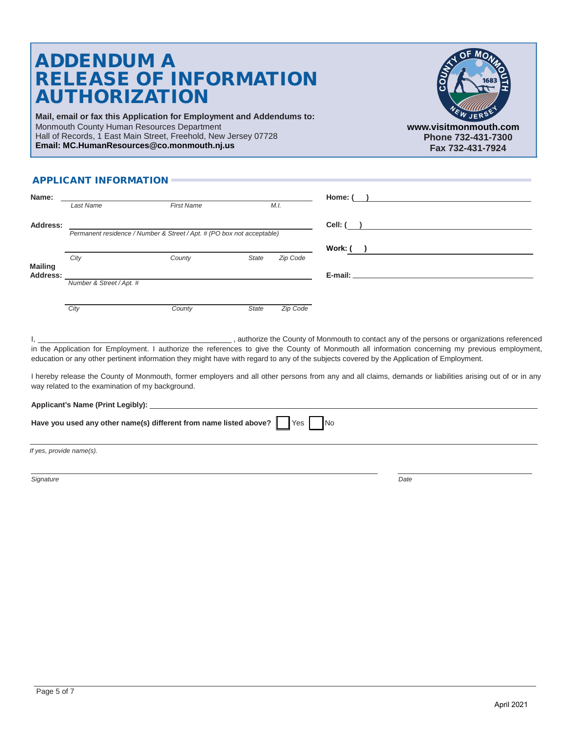# ADDENDUM A RELEASE OF INFORMATION AUTHORIZATION

**Mail, email or fax this Application for Employment and Addendums to:** Monmouth County Human Resources Department Hall of Records, 1 East Main Street, Freehold, New Jersey 07728 **Email: MC.HumanResources@co.monmouth.nj.us**



**[www.visitmonmouth.com](http://www.visitmonmouth.com/) Phone 732-431-7300 Fax 732-431-7924**

## APPLICANT INFORMATION

| Name:                      |                                                                        |                   |          | Home: (   |
|----------------------------|------------------------------------------------------------------------|-------------------|----------|-----------|
|                            | Last Name                                                              | <b>First Name</b> | M.I.     |           |
| Address:                   | Permanent residence / Number & Street / Apt. # (PO box not acceptable) |                   |          | Cell: (   |
|                            |                                                                        |                   |          | Work: (   |
|                            | City                                                                   | County<br>State   | Zip Code |           |
| <b>Mailing</b><br>Address: |                                                                        |                   |          | E-mail: _ |
|                            | Number & Street / Apt. #                                               |                   |          |           |
|                            |                                                                        |                   |          |           |
|                            | City                                                                   | County<br>State   | Zip Code |           |

I, 1. 2008 and the County of Monmouth to contact any of the persons or organizations referenced in the Application for Employment. I authorize the references to give the County of Monmouth all information concerning my previous employment, education or any other pertinent information they might have with regard to any of the subjects covered by the Application of Employment.

I hereby release the County of Monmouth, former employers and all other persons from any and all claims, demands or liabilities arising out of or in any way related to the examination of my background.

| <b>Applicant's Name (Print Legibly):</b> |  |
|------------------------------------------|--|
|                                          |  |

| Have you used any other name(s) different from name listed above? $\Box$ Yes |  |  |  | $\overline{\phantom{a}}$ No |  |
|------------------------------------------------------------------------------|--|--|--|-----------------------------|--|
|------------------------------------------------------------------------------|--|--|--|-----------------------------|--|

*If yes, provide name(s).*

*Signature Date*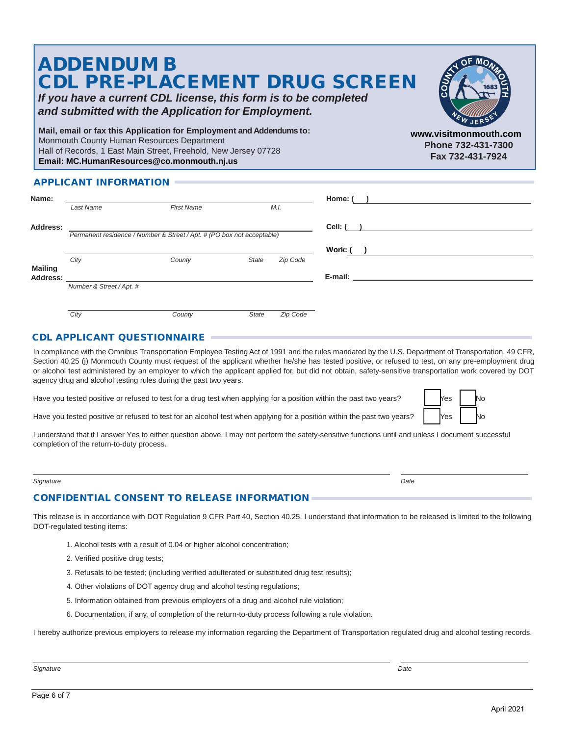| <b>ADDENDUM B</b><br><b>CDL PRE-PLACEMENT DRUG SCREEN</b><br>If you have a current CDL license, this form is to be completed<br>and submitted with the Application for Employment.                                                  |                                                                 |
|-------------------------------------------------------------------------------------------------------------------------------------------------------------------------------------------------------------------------------------|-----------------------------------------------------------------|
| Mail, email or fax this Application for Employment and Addendums to:<br>Monmouth County Human Resources Department<br>Hall of Records, 1 East Main Street, Freehold, New Jersey 07728<br>Email: MC.HumanResources@co.monmouth.nj.us | www.visitmonmouth.com<br>Phone 732-431-7300<br>Fax 732-431-7924 |
| <b>APPLICANT INFORMATION</b>                                                                                                                                                                                                        |                                                                 |

| Name:           |                                                                        |                   |              |          | Home: ( |
|-----------------|------------------------------------------------------------------------|-------------------|--------------|----------|---------|
|                 | Last Name                                                              | <b>First Name</b> |              | M.I.     |         |
| <b>Address:</b> |                                                                        |                   |              |          | Cell: ( |
|                 | Permanent residence / Number & Street / Apt. # (PO box not acceptable) |                   |              |          |         |
|                 |                                                                        |                   |              |          | Work: ( |
| <b>Mailing</b>  | City                                                                   | County            | State        | Zip Code |         |
| Address:        |                                                                        |                   |              |          |         |
|                 | Number & Street / Apt. #                                               |                   |              |          |         |
|                 |                                                                        |                   |              |          |         |
|                 | City                                                                   | County            | <b>State</b> | Zip Code |         |

## CDL APPLICANT QUESTIONNAIRE

In compliance with the Omnibus Transportation Employee Testing Act of 1991 and the rules mandated by the U.S. Department of Transportation, 49 CFR, Section 40.25 (j) Monmouth County must request of the applicant whether he/she has tested positive, or refused to test, on any pre-employment drug or alcohol test administered by an employer to which the applicant applied for, but did not obtain, safety-sensitive transportation work covered by DOT agency drug and alcohol testing rules during the past two years.

Have you tested positive or refused to test for a drug test when applying for a position within the past two years?

Have you tested positive or refused to test for an alcohol test when applying for a position within the past two years?

| Yes | lo |
|-----|----|
| Yes |    |

I understand that if I answer Yes to either question above, I may not perform the safety-sensitive functions until and unless I document successful completion of the return-to-duty process.

#### *Signature Date*

## CONFIDENTIAL CONSENT TO RELEASE INFORMATION

This release is in accordance with DOT Regulation 9 CFR Part 40, Section 40.25. I understand that information to be released is limited to the following DOT-regulated testing items:

- 1. Alcohol tests with a result of 0.04 or higher alcohol concentration;
- 2. Verified positive drug tests;
- 3. Refusals to be tested; (including verified adulterated or substituted drug test results);
- 4. Other violations of DOT agency drug and alcohol testing regulations;
- 5. Information obtained from previous employers of a drug and alcohol rule violation;
- 6. Documentation, if any, of completion of the return-to-duty process following a rule violation.

I hereby authorize previous employers to release my information regarding the Department of Transportation regulated drug and alcohol testing records.